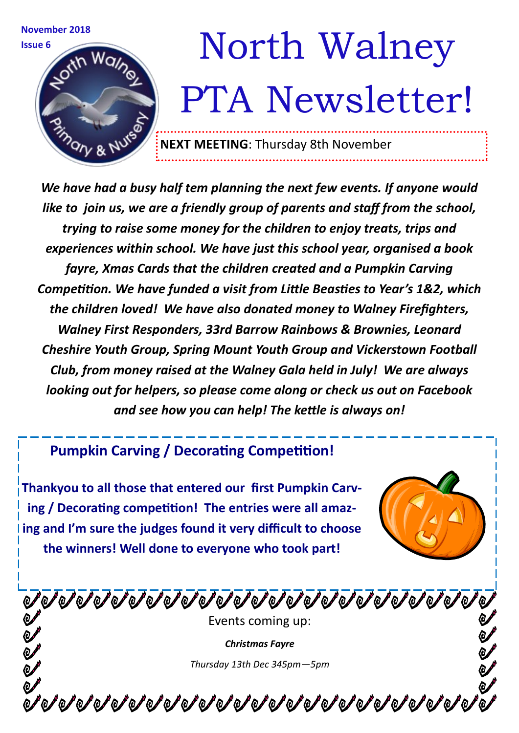

*We have had a busy half tem planning the next few events. If anyone would like to join us, we are a friendly group of parents and staff from the school, trying to raise some money for the children to enjoy treats, trips and experiences within school. We have just this school year, organised a book fayre, Xmas Cards that the children created and a Pumpkin Carving Competition. We have funded a visit from Little Beasties to Year's 1&2, which the children loved! We have also donated money to Walney Firefighters, Walney First Responders, 33rd Barrow Rainbows & Brownies, Leonard Cheshire Youth Group, Spring Mount Youth Group and Vickerstown Football Club, from money raised at the Walney Gala held in July! We are always looking out for helpers, so please come along or check us out on Facebook and see how you can help! The kettle is always on!* 

## **Pumpkin Carving / Decorating Competition!**

**Thankyou to all those that entered our first Pumpkin Carving / Decorating competition! The entries were all amazing and I'm sure the judges found it very difficult to choose the winners! Well done to everyone who took part!**

Events coming up: *Christmas Fayre Thursday 13th Dec 345pm—5pm*

**びびびびびびびびびびびびびびびびびびびびびびび**